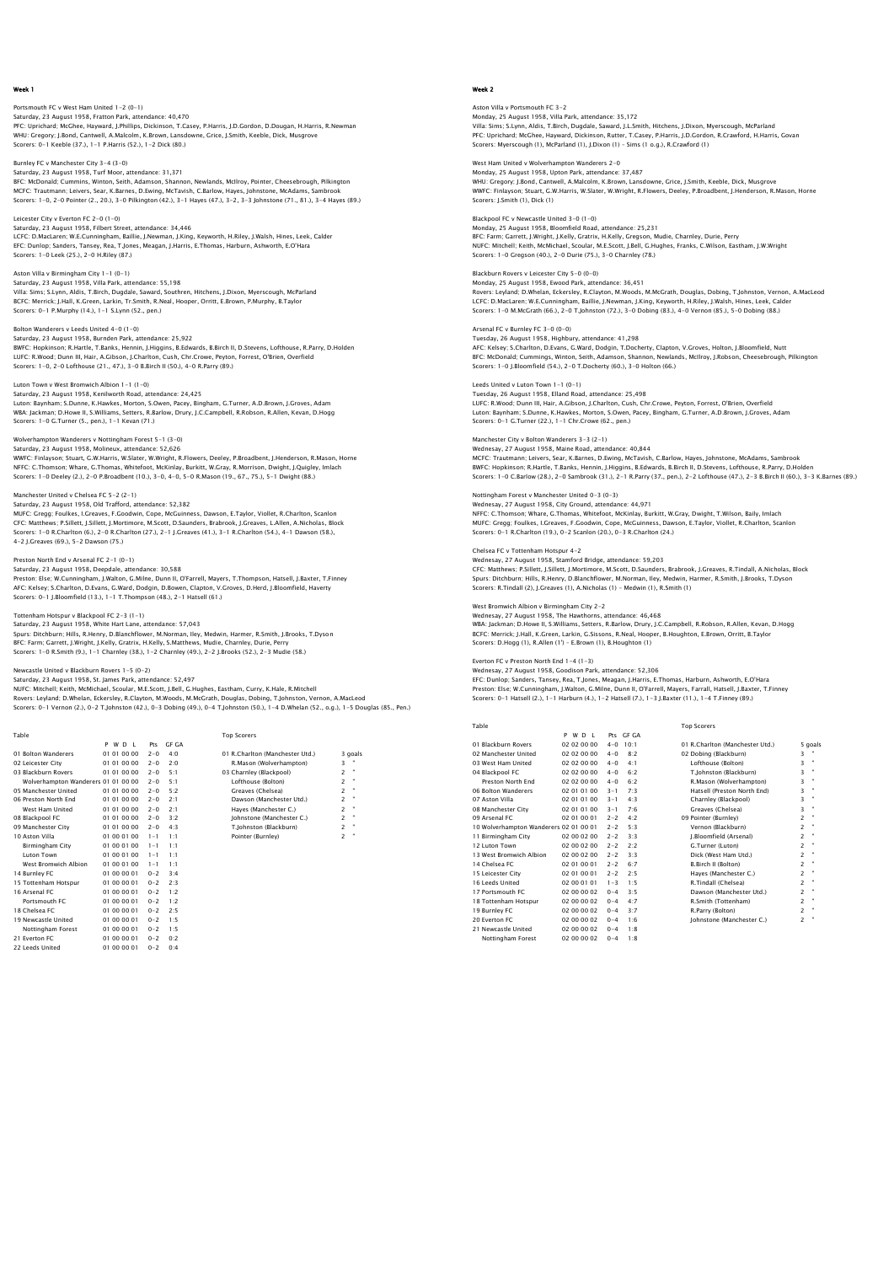# Portsmouth FC v West Ham United 1-2 (0-1) Saturday, 23 August 1958, Fratton Park, attendance: 40,470<br>PFC: Uprichard; MCGhee, Hayward, J.Phillips, Dickinson, T.Casey, P.Harris, J.D.Gordon, D.Dougan, H.Harris, R.Newman<br>WHU: Gregory: J.Bond, Cantwell, A.Malcolm, K.Br Scorers: 0-1 Keeble (37.), 1-1 P.Harris (52.), 1-2 Dick (80.)

Burnley FC v Manchester City 3-4 (3-0)

Saturday, 23 August 1958, Turf Moor, attendance: 31,371 BFC: McDonald; Cummins, Winton, Seith, Adamson, Shannon, Newlands, McIlroy, Pointer, Cheesebrough, Pilkington MCFC: Trautmann; Leivers, Sear, K.Barnes, D.Ewing, McTavish, C.Barlow, Hayes, Johnstone, McAdams, Sambrook Scorers: 1-0, 2-0 Pointer (2., 20.), 3-0 Pilkington (42.), 3-1 Hayes (47.), 3-2, 3-3 Johnstone (71., 81.), 3-4 Hayes (89.)

# Leicester City v Everton FC 2-0 (1-0)

ester City v Everton FC 2-6 (1-6)<br>Irday, 23 August 1958, Filbert Street, attendance: 34,446 LCFC: D.MacLaren; W.E.Cunningham, Baillie, J.Newman, J.King, Keyworth, H.Riley, J.Walsh, Hines, Leek, Calder EFC: Dunlop; Sanders, Tansey, Rea, T.Jones, Meagan, J.Harris, E.Thomas, Harburn, Ashworth, E.O'Hara Scorers: 1-0 Leek (25.), 2-0 H.Riley (87.)

# Aston Villa v Birmingham City 1-1 (0-1)

Saturday, 23 August 1958, Villa Park, attendance: 55,198 Villa: Sims; S.Lynn, Aldis, T.Birch, Dugdale, Saward, Southren, Hitchens, J.Dixon, Myerscough, McParland BCFC: Merrick; J.Hall, K.Green, Larkin, Tr.Smith, R.Neal, Hooper, Orritt, E.Brown, P.Murphy, B.Taylor Scorers: 0-1 P.Murphy (14.), 1-1 S.Lynn (52., pen.)

### Bolton Wanderers v Leeds United 4-0 (1-0)

Saturday, 23 August 1958, Burnden Park, attendance: 25,922 BWFC: Hopkinson; R.Hartle, T.Banks, Hennin, J.Higgins, B.Edwards, B.Birch II, D.Stevens, Lofthouse, R.Parry, D.Holden<br>LUFC: R.Wood; Dunn III, Hair, A.Gibson, J.Charlton, Cush, Chr.Crowe, Peyton, Forrest, O'Brien, Overfield

# Luton Town v West Bromwich Albion 1-1 (1-0)

Saturday, 23 August 1958, Kenilworth Road, attendance: 24,425 Luton: Baynham; S.Dunne, K.Hawkes, Morton, S.Owen, Pacey, Bingham, G.Turner, A.D.Brown, J.Groves, Adam WBA: Jackman; D.Howe II, S.Williams, Setters, R.Barlow, Drury, J.C.Campbell, R.Robson, R.Allen, Kevan, D.Hogg Scorers: 1-0 G.Turner (5., pen.), 1-1 Kevan (71.)

#### Wolverhampton Wanderers v Nottingham Forest 5-1 (3-0)

Saturday, 23 August 1958, Molineux, attendance: S2,626<br>WWFC: Finlayson; Stuart, G.W.Harris, W.Slater, W.Wright, R.Flowers, Deeley, P.Broadbent, J.Henderson, R.Mason, Horne<br>NFFC: C.Thomson; Whare, G.Thomas, Whitefoot, McKin

#### Manchester United v Chelsea FC 5-2 (2-1)

Saturday, 23 August 1958, Old Trafford, attendance: 52,382 MUFC: Gregg; Foulkes, I.Greaves, F.Goodwin, Cope, McGuinness, Dawson, E.Taylor, Viollet, R.Charlton, Scanlon<br>CFC: Matthews; P.Sillett, J.Sillett, J.Mortimore, M.Scott, D.Saunders, Brabrook, J.Greaves, L.Allen, A.Nicholas, 4-2 J.Greaves (69.), 5-2 Dawson (75.)

Preston North End v Arsenal FC 2–1 (0–1)<br>Saturday, 23 August 1958, Deepdale, attendance: 30,588<br>Preston: Else; W.Cunningham, J.Walton, G.Milne, Dunn II, O'Farrell, Mayers, T.Thompson, Hatsell, J.Baxter, T.Finney AFC: Kelsey; S.Charlton, D.Evans, G.Ward, Dodgin, D.Bowen, Clapton, V.Groves, D.Herd, J.Bloomfield, Haverty Scorers: 0-1 J.Bloomfield (13.), 1-1 T.Thompson (48.), 2-1 Hatsell (61.)

# Tottenham Hotspur v Blackpool FC 2-3 (1-1)

Saturday, 23 August 1958, White Hart Lane, attendance: 57,043 Spurs: Ditchburn; Hills, R.Henry, D.Blanchflower, M.Norman, Iley, Medwin, Harmer, R.Smith, J.Brooks, T.Dyson BFC: Farm; Garrett, J.Wright, J.Kelly, Gratrix, H.Kelly, S.Matthews, Mudie, Charnley, Durie, Perry Scorers: 1-0 R.Smith (9.), 1-1 Charnley (38.), 1-2 Charnley (49.), 2-2 J.Brooks (52.), 2-3 Mudie (58.)

### Newcastle United v Blackburn Rovers 1-5 (0-2)

Saturday, 23 August 1958, St. James Park, attendance: 52,497 NUFC: Mitchell; Keith, McMichael, Scoular, M.E.Scott, J.Bell, G.Hughes, Eastham, Curry, K.Hale, R.Mitchell Rovers: Leyland; D.Whelan, Eckersley, R.Clayton, M.Woods, M.McGrath, Douglas, Dobing, T.Johnston, Vernon, A.MacLeod<br>Scorers: 0–1 Vernon (2.), 0–2 T.Johnston (42.), 0–3 Dobing (49.), 0–4 T.Johnston (50.), 1–4 D.Whelan (52.,

 Table Top Scorers P W D L Pts GF GA 01 Bolton Wanderers 01 01 00 00 2-0 4:0 01 R.Charlton (Manchester Utd.) 3 goals 02 Leicester City 01 01 00 00 2-0 2:0 R.Mason (Wolverhampton) 3 " 01 Bolton Wanderers 01 01 00 00 2-0 4:0 01 R.Charlton (Manchester Utd.) 3<br>
02 Leicester City 01 01 00 00 2-0 2:0 R.Mason (Wolverhampton) 3<br>
03 Blackburn Rovers 01 01 00 00 2-0 5:1 03 Charnley (Blackpool) 2 2<br>
10 Wolverhamp Wolverhampton Wanderers 01 01 00 00 2-0 5:1 Lofthouse (Bolton)<br>
05 Manchester United 01 01 00 00 2-0 5:2 Creaves (Chelsea)<br>
06 Preston North End 01 01 01 00 00 2-0 2:1 Dawson (Manchester<br>
10 01 01 00 00 2-0 2:1 Hayes (Manc 05 Manchester United 01 01 00 00 2-0 5:2 Greaves (Chelsea) 2 " 06 Preston North End 01 01 00 00 2-0 2:1 Dawson (Manchester Utd.) 2 " West Ham United 01 01 00 00 2-0 2:1 Hayes (Manchester C.) 2 " 08 Blackpool FC 01 01 00 00 2-0 3:2 Johnstone (Manchester C.) 2 " 09 Manchester Unter Unter Unter Unter Chemical contracts that the United that the City of Dereston Manchester Channel (Manchester Channel Control of Diano 2-0 2:1 Dawson (Manchester C.) 2 "<br>
08 Blackpool FC 01 01 00 00 2-10 Aston Villa 01 00 01 00 1-1 1:1 Pointer (Burnley) 2 " Birmingham City 01 00 01 00 1-1 1:1 Luton Town 01 00 01 00 1-1 1:1 West Bromwich Albion 01 00 01 00 1-1 1:1 10 Aston Villa (a)  $10001001 - 1111$ <br>
14 Burnley Romwich Albion (a) 00 01 00 1-1 1:1<br>
14 Burnley FC (a) 00 01 00 1-1 1:1<br>
14 Burnley FC (a) 00 00 01 0-2 3:4<br>
14 Burnley FC (a) 00 00 01 0-2 3:4<br>
15 Tottenham Hotsour (a) 00 15 Tottenham Hotspur<br>
16 Arsenal FC 01 00 00 01 0-2 1:2<br>
Portsmouth FC 01 00 00 01 0-2 1:2<br>
18 Chelsea FC 01 00 00 01 0-2 2:5<br>
19 Newcastle United 01 00 00 01 0-2 1:5

# 16 Arsenal FC 01 00 00 01 0-2 1:2 Portsmouth FC 01 00 00 01 0-2 1:2 18 Chelsea FC 01 00 00 01 0-2 2:5 19 Newcastle United 01 00 00 01 0-2 1:5 Nottingham Forest 01 00 00 01 0-2 1:5<br>
21 Everton FC 01 00 00 01 0-2 0:2<br>
22 Leeds United 01 00 00 01 0-2 0:4 21 Everton FC 01 00 00 01 0-2 0:2 22 Leeds United 01 00 00 01 0-2 0:4

# Week 2

Aston Villa v Portsmouth FC 3-2 Monday, 25 August 1958, Villa Park, attendance: 35,172<br>Villa: Sims; S.Lynn, Aldis, T.Birch, Dugdale, Saward, J.L.Smith, Hitchens, J.Dixon, Myerscough, McParland<br>PFC: Uprichard: McGhee, Hayward, Dickinson, Rutter, T.Casey, Scorers: Myerscough (1), McParland (1), J.Dixon (1) – Sims (1 o.g.), R.Crawford (1)

# West Ham United v Wolverhampton Wanderers 2-0

Monday, 25 August 1958, Upton Park, attendance: 37,487 WHU: Gregory; J.Bond, Cantwell, A.Malcolm, K.Brown, Lansdowne, Grice, J.Smith, Keeble, Dick, Musgrove WWFC: Finlayson; Stuart, G.W.Harris, W.Slater, W.Wright, R.Flowers, Deeley, P.Broadbent, J.Henderson, R.Mason, Horne Scorers: J.Smith (1), Dick (1)

Blackpool FC v Newcastle United 3-0 (1-0) Monday, 25 August 1958, Bloomfield Road, attendance: 25,231 BFC: Farm; Garrett, J.Wright, J.Kelly, Gratrix, H.Kelly, Gregson, Mudie, Charnley, Durie, Perry NUFC: Mitchell; Keith, McMichael, Scoular, M.E.Scott, J.Bell, G.Hughes, Franks, C.Wilson, Eastham, J.W.Wright Scorers: 1-0 Gregson (40.), 2-0 Durie (75.), 3-0 Charnley (78.)

# Blackburn Rovers v Leicester City 5-0 (0-0)

Monday, 25 August 1958, Ewood Park, attendance: 36,451 Rovers: Leyland; D.Whelan, Eckersley, R.Clayton, M.Woods, M.McGrath, Douglas, Dobing, T.Johnston, Vernon, A.MacLeod LCFC: D.MacLaren; W.E.Cunningham, Baillie, J.Newman, J.King, Keyworth, H.Riley, J.Walsh, Hines, Leek, Calder Scorers: 1-0 M.McGrath (66.), 2-0 T.Johnston (72.), 3-0 Dobing (83.), 4-0 Vernon (85.), 5-0 Dobing (88.)

# Arsenal FC v Burnley FC 3-0 (0-0)

Tuesday, 26 August 1958, Highbury, attendance: 41,298 AFC: Kelsey; S.Charlton, D.Evans, G.Ward, Dodgin, T.Docherty, Clapton, V.Groves, Holton, J.Bloomfield, Nutt BFC: McDonald; Cummings, Winton, Seith, Adamson, Shannon, Newlands, McIlroy, J.Robson, Cheesebrough, Pilkington Scorers: 1-0 J.Bloomfield (54.), 2-0 T.Docherty (60.), 3-0 Holton (66.)

### Leeds United v Luton Town 1-1 (0-1)

Tuesday, 26 August 1958, Elland Road, attendance: 25,498 LUFC: R.Wood; Dunn III, Hair, A.Gibson, J.Charlton, Cush, Chr.Crowe, Peyton, Forrest, O'Brien, Overfield Luton: Baynham; S.Dunne, K.Hawkes, Morton, S.Owen, Pacey, Bingham, G.Turner, A.D.Brown, J.Groves, Adam Scorers: 0-1 G.Turner (22.), 1-1 Chr.Crowe (62., pen.)

#### Manchester City v Bolton Wanderers 3-3 (2-1)

Wednesay, 27 August 1958, Maine Road, attendance: 40,844<br>MCFC: Trautmann; Leivers, Sear, K.Barnes, D.E.Wing, McTavish, C.Barlow, Hayes, Johnstone, McAdams, Sambrook<br>BWFC: Hopkinson; R.Hartle, T.Banks, Hennin, J.Higgins, B.

#### Nottingham Forest v Manchester United 0-3 (0-3) Wednesay, 27 August 1958, City Ground, attendance: 44,971

NFFC: C.Thomson; Whare, G.Thomas, Whitefoot, McKinlay, Burkitt, W.Gray, Dwight, T.Wilson, Baily, Imlach MUFC: Gregg; Foulkes, I.Greaves, F.Goodwin, Cope, McGuinness, Dawson, E.Taylor, Viollet, R.Charlton, Scanlon Scorers: 0-1 R.Charlton (19.), 0-2 Scanlon (20.), 0-3 R.Charlton (24.)

# Chelsea FC v Tottenham Hotspur 4-2

Wednesay, 27 August 1958, Stamford Bridge, attendance: 59,203<br>CFC: Matthews; P.S.illett, J.Sillett, J.Mortimore, M.Scott, D.Saunders, Brabrook, J.Greaves, R.Tindall, A.Nicholas, Block<br>Spurs: Ditchburn; Hills, R.Henry, D.Bl

West Bromwich Albion v Birmingham City 2–2<br>Wednesay, 27 August 1958, The Hawthorns, attendance: 46,468<br>WBA: Jackman; D.Howe II, S.Williams, Setters, R.Barlow, Drury, J.C.Campbell, R.Robson, R.Allen, Kevan, D.Hogg<br>BCFC: Mer

Everton FC v Preston North End 1–4 (1–3)<br>Wednesay, 27 August 1958, Goodison Park, attendance: 52,306<br>EFC: Dunlop; Sanders, Tansey, Rea, T.Jones, Meagan, J.Harris, E.Thomas, Harburn, Ashworth, E.O'Hara<br>Preston: Else: W.Cunn Scorers: 0-1 Hatsell (2.), 1-1 Harburn (4.), 1-2 Hatsell (7.), 1-3 J.Baxter (11.), 1-4 T.Finney (89.)

| Table                                  |             |         |                 | <b>Top Scorers</b>              |                |                |
|----------------------------------------|-------------|---------|-----------------|---------------------------------|----------------|----------------|
|                                        | P W D I     |         | Pts GE GA       |                                 |                |                |
| 01 Blackburn Rovers                    | 02 02 00 00 | $4 - 0$ | 10 <sup>1</sup> | 01 R.Charlton (Manchester Utd.) |                | 5 goals        |
| 02 Manchester United                   | 02 02 00 00 | $4 - 0$ | 8.2             | 02 Dobing (Blackburn)           | 3              |                |
| 03 West Ham United                     | 02 02 00 00 | $4 - 0$ | 4:1             | Lofthouse (Bolton)              | 3              | $\bullet$      |
| 04 Blackpool FC                        | 02 02 00 00 | $4 - 0$ | 6:2             | T.Johnston (Blackburn)          | 3              | $\blacksquare$ |
| Preston North End                      | 02 02 00 00 | $4 - 0$ | 6.2             | R.Mason (Wolverhampton)         | 3              | ×              |
| 06 Bolton Wanderers                    | 02 01 01 00 | $3 - 1$ | 7:3             | Hatsell (Preston North End)     | 3              | $\mathbf{u}$   |
| 07 Aston Villa                         | 02 01 01 00 | $3 - 1$ | 4:3             | Charnley (Blackpool)            | 3              | ×              |
| 08 Manchester City                     | 02 01 01 00 | $3 - 1$ | 7.6             | Greaves (Chelsea)               | 3              | $\mathbf{u}$   |
| 09 Arsenal FC                          | 02.01.00.01 | $2 - 2$ | 4:2             | 09 Pointer (Burnley)            | $\overline{c}$ | ×              |
| 10 Wolverhampton Wanderers 02 01 00 01 |             | $2 - 2$ | 5.3             | Vernon (Blackburn)              | $\overline{a}$ | $\bullet$      |
| 11 Birmingham City                     | 02 00 02 00 | $2 - 2$ | 3:3             | I.Bloomfield (Arsenal)          | $\overline{c}$ | $\mathbf{u}$   |
| 12 Luton Town                          | 02 00 02 00 | $2 - 2$ | 2.2             | G.Turner (Luton)                | $\overline{a}$ | $\mathbf{u}$   |
| 13 West Bromwich Albion                | 02 00 02 00 | $2 - 2$ | 3.3             | Dick (West Ham Utd.)            | $\overline{c}$ | ×              |
| 14 Chelsea EC                          | 02 01 00 01 | $2 - 2$ | 6.7             | <b>B.Birch II (Bolton)</b>      | $\overline{c}$ | ×              |
| 15 Leicester City                      | 02 01 00 01 | $2 - 2$ | 2:5             | Haves (Manchester C.)           | $\overline{c}$ | $\mathbf{u}$   |
| 16 Leeds United                        | 02 00 01 01 | $1 - 3$ | 1:5             | R.Tindall (Chelsea)             | $\overline{c}$ | ×              |
| 17 Portsmouth EC                       | 02 00 00 02 | $0 - 4$ | 3.5             | Dawson (Manchester Utd.)        | $\overline{a}$ | $\mathbf{u}$   |
| 18 Tottenham Hotspur                   | 02 00 00 02 | $0 - 4$ | 4:7             | R.Smith (Tottenham)             | $\overline{c}$ | $\mathbf{u}$   |
| 19 Burnley FC                          | 02 00 00 02 | $0 - 4$ | 3:7             | R.Parry (Bolton)                | $\overline{a}$ | ×              |
| 20 Everton EC                          | 02 00 00 02 | $0 - 4$ | 1.6             | Johnstone (Manchester C.)       | $\overline{a}$ | $\mathbf{u}$   |
| 21 Newcastle United                    | 02 00 00 02 | $0 - 4$ | 1:8             |                                 |                |                |
| Nottingham Forest                      | 02 00 00 02 | $0 - 4$ | 1:8             |                                 |                |                |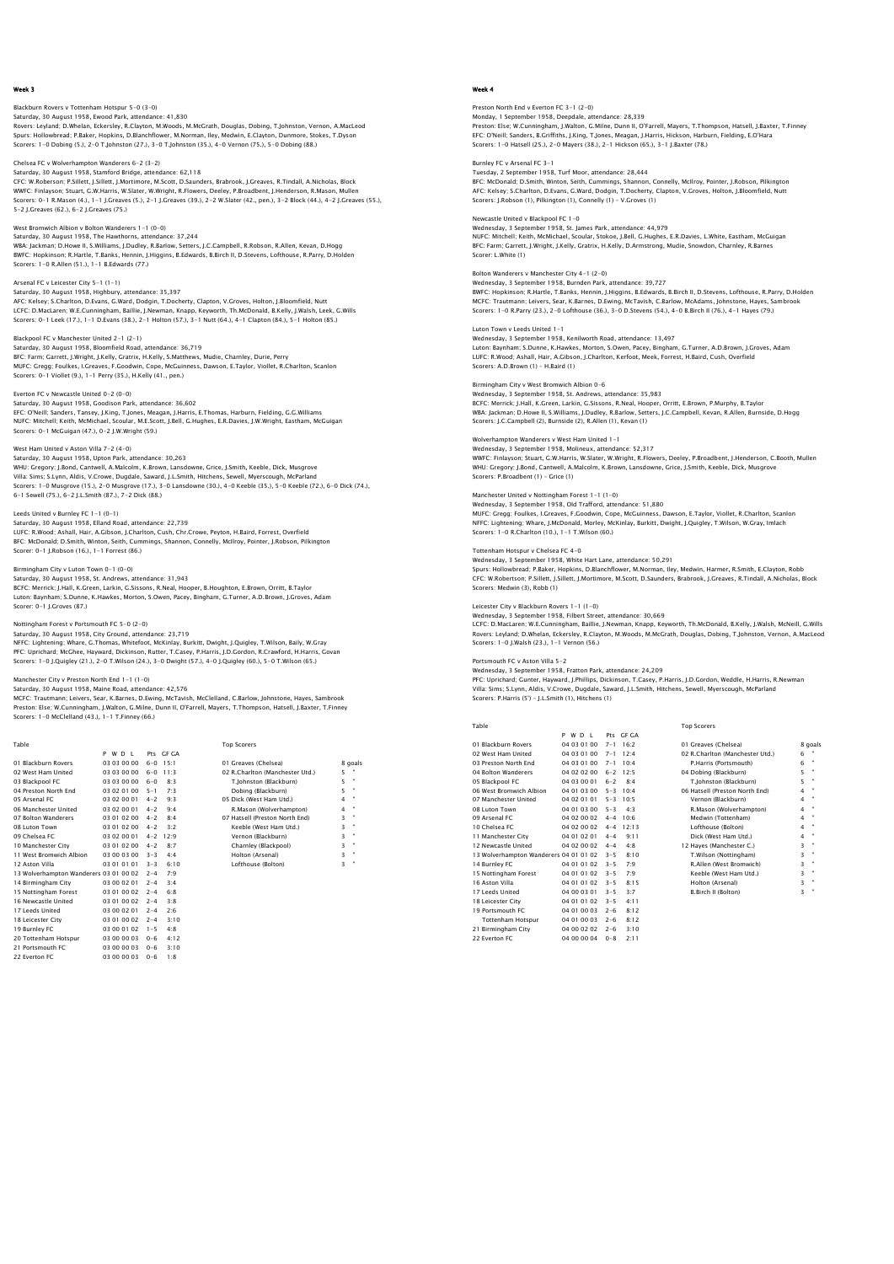# Blackburn Rovers v Tottenham Hotspur 5-0 (3-0) Saturday, 30 August 1958, Ewood Park, attendance: 41,830<br>Rovers: Leyland; D.Whelan, Eckersley, R.Clayton, M.Woods, M.McGrath, Douglas, Dobing, T.Johnston, Vernon, A.MacLeod<br>Spurs: Hollowbread: P.Baker, Hopkins, D.Blanchflo Scorers: 1-0 Dobing (5.), 2-0 T.Johnston (27.), 3-0 T.Johnston (35.), 4-0 Vernon (75.), 5-0 Dobing (88.)

Chelsea FC v Wolverhampton Wanderers 6-2 (3-2) Saturday, 30 August 1958, Stamford Bridge, attendance: 62,118 CFC: W.Roberson; P.Sillett, J.Sillett, J.Mortimore, M.Scott, D.Saunders, Brabrook, J.Greaves, R.Tindall, A.Nicholas, Block WWFC: Finlayson; Stuart, G.W.Harris, W.Slater, W.Wright, R.Flowers, Deeley, P.Broadbent, J.Henderson, R.Mason, Mullen Scorers: 0-1 R.Mason (4.), 1-1 J.Greaves (5.), 2-1 J.Greaves (39.), 2-2 W.Slater (42., pen.), 3-2 Block (44.), 4-2 J.Greaves (55.), 5-2 J.Greaves (62.), 6-2 J.Greaves (75.)

West Bromwich Albion v Bolton Wanderers 1-1 (0-0) Saturday, 30 August 1958, The Hawthorns, attendance: 37,244 WBA: Jackman; D.Howe II, S.Williams, J.Dudley, R.Barlow, Setters, J.C.Campbell, R.Robson, R.Allen, Kevan, D.Hogg BWFC: Hopkinson; R.Hartle, T.Banks, Hennin, J.Higgins, B.Edwards, B.Birch II, D.Stevens, Lofthouse, R.Parry, D.Holden Scorers: 1-0 R.Allen (51.), 1-1 B.Edwards (77.)

Arsenal FC v Leicester City 5-1 (1-1) Saturday, 30 August 1958, Highbury, attendance: 35,397 AFC: Kelsey; S.Charlton, D.Evans, G.Ward, Dodgin, T.Docherty, Clapton, V.Groves, Holton, J.Bloomfield, Nutt<br>LCFC: D.MacLaren; W.E.Cunningham, Baillie, J.Newman, Knapp, Keyworth, Th.McDonald, B.Kelly, J.Walsh, Leek, G.Wills

Blackpool FC v Manchester United 2-1 (2-1) Saturday, 30 August 1958, Bloomfield Road, attendance: 36,719<br>BFC: Farm; Garrett, J.Wright, J.Kelly, Gratrix, H.Kelly, S.Matthews, Mudie, Charnley, Durie, Perry<br>MUFC: Gregg; Foulkes, I.Greaves, F.Coodwin, Cope, McGuinness,

#### Everton FC v Newcastle United 0-2 (0-0) Saturday, 30 August 1958, Goodison Park, attendance: 36,602

EFC: O'Neill; Sanders, Tansey, J.King, T.Jones, Meagan, J.Harris, E.Thomas, Harburn, Fielding, G.G.Williams NUFC: Mitchell; Keith, McMichael, Scoular, M.E.Scott, J.Bell, G.Hughes, E.R.Davies, J.W.Wright, Eastham, McGuigan Scorers: 0-1 McGuigan (47.), 0-2 J.W.Wright (59.)

# West Ham United v Aston Villa 7-2 (4-0)

Saturday, 30 August 1958, Upton Park, attendance: 30,263<br>WHU: Gregory: J.Bond, Cantwell, A.Malcolm, K.Brown, Lansdowne, Grice, J.Smith, Keeble, Dick, Musgrove<br>Villa: Sims; S.Lynn, Aldis, V.Crowe, Dugdale, Saward, J.L.Smith 6-1 Sewell (75.), 6-2 J.L.Smith (87.), 7-2 Dick (88.)

Leeds United v Burnley FC 1-1 (0-1)

Saturday, 30 August 1958, Elland Road, attendance: 22,739 LUFC: R.Wood; Ashall, Hair, A.Gibson, J.Charlton, Cush, Chr.Crowe, Peyton, H.Baird, Forrest, Overfield BFC: McDonald; D.Smith, Winton, Seith, Cummings, Shannon, Connelly, McIlroy, Pointer, J.Robson, Pilkington Scorer: 0-1 J.Robson (16.), 1-1 Forrest (86.)

### Birmingham City v Luton Town 0-1 (0-0)

Saturday, 30 August 1958, St. Andrews, attendance: 31,943 BCFC: Merrick; J.Hall, K.Green, Larkin, G.Sissons, R.Neal, Hooper, B.Houghton, E.Brown, Orritt, B.Taylor Luton: Baynham; S.Dunne, K.Hawkes, Morton, S.Owen, Pacey, Bingham, G.Turner, A.D.Brown, J.Groves, Adam Scorer: 0-1 J.Groves (87.)

#### Nottingham Forest v Portsmouth FC 5-0 (2-0)

Saturday, 30 August 1958, City Ground, attendance: 23,719

NFFC: Lightening; Whare, G.Thomas, Whitefoot, McKinlay, Burkitt, Dwight, J.Quigley, T.Wilson, Baily, W.Gray PFC: Uprichard; McGhee, Hayward, Dickinson, Rutter, T.Casey, P.Harris, J.D.Gordon, R.Crawford, H.Harris, Govan Scorers: 1-0 J.Quigley (21.), 2-0 T.Wilson (24.), 3-0 Dwight (57.), 4-0 J.Quigley (60.), 5-0 T.Wilson (65.)

#### Manchester City v Preston North End 1-1 (1-0) Saturday, 30 August 1958, Maine Road, attendance: 42,576

MCFC: Trautmann; Leivers, Sear, K.Barnes, D.Ewing, McTavish, McClelland, C.Barlow, Johnstone, Hayes, Sambrook<br>Preston: Else; W.Cunningham, J.Walton, G.Milne, Dunn II, O'Farrell, Mayers, T.Thompson, Hatsell, J.Baxter, T.Fin

 Table Top Scorers P W D L Pts GF GA 01 Blackburn Rovers 03 03 00 00 6-0 15:1 01 Greaves (Chelsea) 8 goals 02 West Ham United 03 03 00 00 6-0 11:3 02 R.Charlton (Manchester Utd.) 5 "<br>
03 Blackpool FC 03 03 00 00 6-0 8:3 T.Johnston (Blackburn) 5 " 03 Blackpool FC 03 03 00 00 6-0 8:3 T.Johnston (Blackburn)<br>04 Preston North End 03 02 01 00 5-1 7:3 Dobing (Blackburn) 04 Preston North End 03 02 01 00 5-1 7:3<br>
05 Arsenal FC 03 02 00 01 4-2 9:4<br>
06 Manchester United 03 02 00 01 4-2 9:4<br>
07 Bolton Wanderers 03 01 02 00 4-2 8:4 05 Arsenal FC 03 02 00 01 4-2 9:3 05 Dick (West Ham Utd.) 4 " 06 Manchester United 03 02 00 01 4-2 9:4 R.Mason (Wolverhampton) 4 " 07 Bolton Wanderers 03 01 02 00 4-2 8:4 07 Hatsell (Preston North End) 3 " 06 Manchester United the 1930/00101 4 -2 9:4 R. Masson (Wolverhampton) 4 - 1930/001 9 - 2 9:4 (7) Hatsell (Preston North End) 3 "<br>07 Buton Town (1930/01 02:00 4-2 3:2 (8 - 1930 / 1945 (1945 1946 1946) 3 "<br>08 Chalsea FC (1 09 Chelsea FC 03 02 00 01 4-2 12:9 Vernon (Blackburn) 3 " 10 Manchester City 03 01 02 00 4-2 8:7 Charnley (Blackpool) 3 " 11 West Bromwich Albion 03 00 03 00 3-3 4:4 Holton (Arsenal) 3 " 12 Aston Villa 03 01 01 01 3-3 6:10 Lofthouse (Bolton) 3 " 13 Wolverhampton Wanderers 03 01 00 02 2-4 7:9<br>14 Birmingham City 03 00 02 01 2-4 3:4 14 Birmingham City 03 00 02 01 2-4<br>15 Nottingham Forest 03 01 00 02 2-4<br>16 Newcastle United 03 01 00 02 2-4<br>17 Leeds United 03 00 02 01 2-4 15 Nottingham Forest 03 01 00 02 2-4 6:8 16 Newcastle United 03 01 00 02 2-4 3:8 17 Leeds United 03 00 02 01 2-4 2:6 18 Leicester City 03 01 00 02 2-4 3:10 19 Burnley FC 03 00 01 02 1-5 4:8 20 Tottenham Hotspur 03 00 00 03 0-6 4:12 21 Portsmouth FC 03 00 00 03 0-6 3:10 22 Everton FC 03 00 00 03 0-6 1:8

# Week 4

Preston North End v Everton FC 3-1 (2-0) Monday, 1 September 1958, Deepdale, attendance: 28,339<br>Preston: Else; W.Cunningham, J.Walton, G.Milne, Dunn II, O'Farrell, Mayers, T.Thompson, Hatsell, J.Baxter, T.Finney<br>EFC: O'Neili; Sanders, B.Griffiths, J.Kinq, T.Jones Scorers: 1-0 Hatsell (25.), 2-0 Mayers (38.), 2-1 Hickson (65.), 3-1 J.Baxter (78.)

Burnley FC v Arsenal FC 3–1<br>Tuesday, 2 September 1958, Turf Moor, attendance: 28,444<br>BFC: McDonald; D.Smith, Winton, Seith, Cummings, Shannon, Connelly, McIlroy, Pointer, J.Robson, Pilkingtor<br>AFC: Kelsey; S.Charlton, D.Eva Scorers: J.Robson (1), Pilkington (1), Connelly (1) – V.Groves (1)

Newcastle United v Blackpool FC 1–0<br>Wednesday, 3 September 1958, St. James Park, attendance: 44,979<br>NUFC: Mitchell; Keith, McMichael, Scoular, Stokoe, J.Bell, G.Hughes, E.R.Davies, L.White, Eastham, McGuigar BFC: Farm; Garrett, J.Wright, J.Kelly, Gratrix, H.Kelly, D.Armstrong, Mudie, Snowdon, Charnley, R.Barnes Scorer: L.White (1)

# Bolton Wanderers v Manchester City 4-1 (2-0)

Wednesday, 3 September 1958, Burnden Park, attendance: 39,727 BWFC: Hopkinson; R.Hartle, T.Banks, Hennin, J.Higgins, B.Edwards, B.Birch II, D.Stevens, Lofthouse, R.Parry, D.Holden MCFC: Trautmann; Leivers, Sear, K.Barnes, D.Ewing, McTavish, C.Barlow, McAdams, Johnstone, Hayes, Sambrook Scorers: 1-0 R.Parry (23.), 2-0 Lofthouse (36.), 3-0 D.Stevens (54.), 4-0 B.Birch II (76.), 4-1 Hayes (79.)

# Luton Town v Leeds United 1-1

Wednesday, 3 September 1958, Kenilworth Road, attendance: 13,497 Luton: Baynham; S.Dunne, K.Hawkes, Morton, S.Owen, Pacey, Bingham, G.Turner, A.D.Brown, J.Groves, Adam LUFC: R.Wood; Ashall, Hair, A.Gibson, J.Charlton, Kerfoot, Meek, Forrest, H.Baird, Cush, Overfield Scorers: A.D.Brown (1) – H.Baird (1)

#### Birmingham City v West Bromwich Albion 0-6

Wednesday, 3 September 1958, St. Andrews, attendance: 35,983 BCFC: Merrick; J.Hall, K.Green, Larkin, G.Sissons, R.Neal, Hooper, Orritt, E.Brown, P.Murphy, B.Taylor<br>WBA: Jackman; D.Howe II, S.Williams, J.Dudley, R.Barlow, Setters, J.C.Campbell, Kevan, R.Allen, Burnside, D.Hogg<br>Scorer

## Wolverhampton Wanderers v West Ham United 1-1

Wednesday, 3 September 1958, Molineux, attendance: 52,317<br>WWFC: Finlayson; Stuart, G.W.Harris, W.Slater, W.Wright, R.Flowers, Deeley, P.Broadbent, J.Henderson, C.Booth, Mullen<br>WHU: Gregory: J.Bond, Cantwell, A.Malcolm, K.B

#### Manchester United v Nottingham Forest 1-1 (1-0) Wednesday, 3 September 1958, Old Trafford, attendance: 51,880

MUFC: Gregg; Foulkes, I.Greaves, F.Goodwin, Cope, McGuinness, Dawson, E.Taylor, Viollet, R.Charlton, Scanlon NFFC: Lightening; Whare, J.McDonald, Morley, McKinlay, Burkitt, Dwight, J.Quigley, T.Wilson, W.Gray, Imlach Scorers: 1-0 R.Charlton (10.), 1-1 T.Wilson (60.)

# Tottenham Hotspur v Chelsea FC 4-0

Wednesday, 3 September 1958, White Hart Lane, attendance: 50,291<br>Spurs: Hollowbread; P.Baker, Hopkins, D.Blanchflower, M.Norman, Iley, Medwin, Harmer, R.Smith, E.Clayton, Robb<br>CFC: W.Robertson: P.Sillett, J.Sillett, J.Mort Scorers: Medwin (3), Robb (1)

Leicester City v Blackburn Rovers 1–1 (1–0)<br>Wednesday, 3 September 1958, Filbert Street, attendance: 30,669<br>LCFC: D.MacLaren; W.E.Cunningham, Baillie, J.Newman, Knapp, Keyworth, Th.McDonald, B.Kelly, J.Walsh, McNeill, G.Wi Scorers: 1-0 J.Walsh (23.), 1-1 Vernon (56.)

Portsmouth FC v Aston Villa 5–2<br>Wednesday, 3 September 1958, Fratton Park, attendance: 24,209<br>PFC: Uprichard; Gunter, Hayward, J.Phillips, Dickinson, T.Casey, P.Harris, J.D.Gordon, Weddle, H.Harris, R.Newman Villa: Sims; S.Lynn, Aldis, V.Crowe, Dugdale, Saward, J.L.Smith, Hitchens, Sewell, Myerscough, McParland Scorers: P.Harris (5') – J.L.Smith (1), Hitchens (1)

| Table                                  |             |                  | <b>Top Scorers</b>              |                     |
|----------------------------------------|-------------|------------------|---------------------------------|---------------------|
|                                        | WD I<br>P   | Pts GE GA        |                                 |                     |
| 01 Blackburn Rovers                    | 04 03 01 00 | $7 - 1$<br>16.2  | 01 Greaves (Chelsea)            | 8 goals             |
| 02 West Ham United                     | 04 03 01 00 | 12.4<br>$7 - 1$  | 02 R.Charlton (Manchester Utd.) | 6                   |
| 03 Preston North End                   | 04 03 01 00 | 10.4<br>$7 - 1$  | P.Harris (Portsmouth)           | $\blacksquare$<br>6 |
| 04 Bolton Wanderers                    | 04 02 02 00 | $6 - 2$<br>12:5  | 04 Dobing (Blackburn)           | 5<br>$\bullet$      |
| 05 Blackpool FC                        | 04 03 00 01 | $6 - 2$<br>8.4   | T.Johnston (Blackburn)          | $\bullet$<br>5      |
| 06 West Bromwich Albion                | 04 01 03 00 | $5-3$ 10:4       | 06 Hatsell (Preston North End)  | ×<br>4              |
| 07 Manchester United                   | 04 02 01 01 | $5 - 3$<br>10.5  | Vernon (Blackburn)              | $\bullet$<br>4      |
| 08 Luton Town                          | 04 01 03 00 | $5 - 3$<br>4.3   | R.Mason (Wolverhampton)         | $\bullet$<br>4      |
| 09 Arsenal FC                          | 04 02 00 02 | $4 - 4$<br>10.6  | Medwin (Tottenham)              | $\bullet$<br>4      |
| 10 Chelsea EC                          | 04 02 00 02 | 12.13<br>$4 - 4$ | Lofthouse (Bolton)              | $\mathbf{u}$<br>4   |
| 11 Manchester City                     | 04 01 02 01 | 9:11<br>$4 - 4$  | Dick (West Ham Utd.)            | ٠<br>4              |
| 12 Newcastle United                    | 04 02 00 02 | 4.8<br>$4 - 4$   | 12 Haves (Manchester C.)        | $\mathbf{u}$<br>3   |
| 13 Wolverhampton Wanderers 04 01 01 02 |             | 8:10<br>$3 - 5$  | T.Wilson (Nottingham)           | 3<br>$\bullet$      |
| 14 Burnley FC                          | 04 01 01 02 | $3 - 5$<br>7:9   | R.Allen (West Bromwich)         | 3<br>$\blacksquare$ |
| 15 Nottingham Forest                   | 04 01 01 02 | $3 - 5$<br>7.9   | Keeble (West Ham Utd.)          | $\bullet$<br>3      |
| 16 Aston Villa                         | 04 01 01 02 | $3 - 5$<br>8:15  | Holton (Arsenal)                | ٠<br>3              |
| 17 Leeds United                        | 04 00 03 01 | 3.7<br>$3 - 5$   | <b>B.Birch II (Bolton)</b>      | $\blacksquare$<br>3 |
| 18 Leicester City                      | 04 01 01 02 | $3 - 5$<br>4:11  |                                 |                     |
| 19 Portsmouth FC                       | 04 01 00 03 | $2 - 6$<br>8:12  |                                 |                     |
| <b>Tottenham Hotspur</b>               | 04 01 00 03 | 8:12<br>$2 - 6$  |                                 |                     |
| 21 Birmingham City                     | 04 00 02 02 | 3:10<br>$2 - 6$  |                                 |                     |
| 22 Everton EC                          | 04 00 00 04 | 2:11<br>$0 - 8$  |                                 |                     |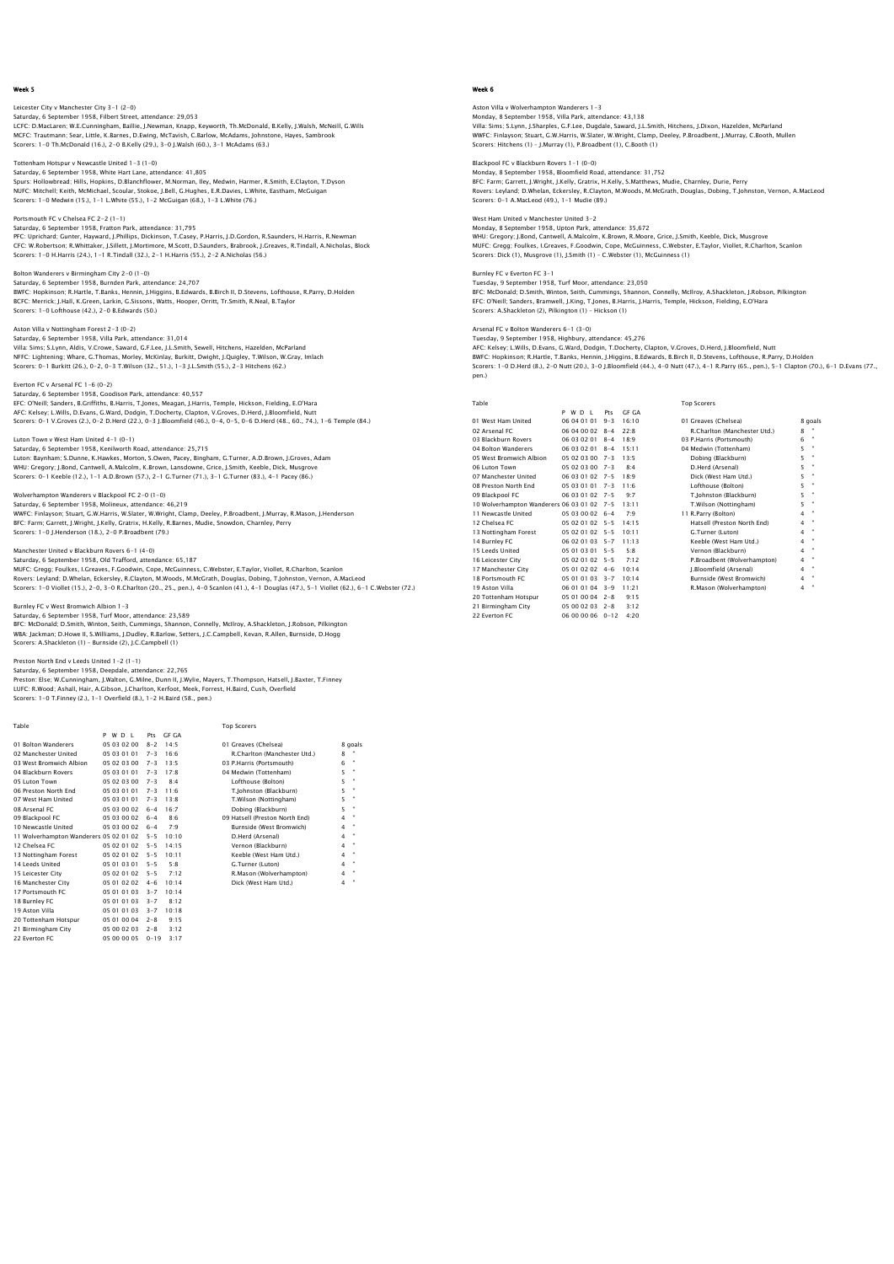# Leicester City v Manchester City 3-1 (2-0) Saturday, 6 September 1958, Filbert Street, attendance: 29,053<br>LCFC: D.MacLaren; W.E.Cunningham, Baillie, J.Newman, Knapp, Keyworth, Th.McDonald, B.Kelly, J.Walsh, McNeill, G.Wills<br>MCFC: Trautmann; Sear, Little, K.Barnes, Scorers: 1-0 Th.McDonald (16.), 2-0 B.Kelly (29.), 3-0 J.Walsh (60.), 3-1 McAdams (63.)

Tottenham Hotspur v Newcastle United 1-3 (1-0) Saturday, 6 September 1958, White Hart Lane, attendance: 41,805 Spurs: Hollowbread; Hills, Hopkins, D.Blanchflower, M.Norman, Iley, Medwin, Harmer, R.Smith, E.Clayton, T.Dyson NUFC: Mitchell; Keith, McMichael, Scoular, Stokoe, J.Bell, G.Hughes, E.R.Davies, L.White, Eastham, McGuigan Scorers: 1-0 Medwin (15.), 1-1 L.White (55.), 1-2 McGuigan (68.), 1-3 L.White (76.)

Portsmouth FC v Chelsea FC 2-2 (1–1)<br>Saturday, 6 September 1958, Fratton Park, attendance: 31,795<br>PFC: Uprichard; Gunter, Hayward, J.Phillips, Dickinson, T.Casey, P.Harris, J.D.Gordon, R.Saunders, H.Harris, R.Newman CFC: W.Robertson; R.Whittaker, J.Sillett, J.Mortimore, M.Scott, D.Saunders, Brabrook, J.Greaves, R.Tindall, A.Nicholas, Block Scorers: 1-0 H.Harris (24.), 1-1 R.Tindall (32.), 2-1 H.Harris (55.), 2-2 A.Nicholas (56.)

# Bolton Wanderers v Birmingham City 2-0 (1-0)

Saturday, 6 September 1958, Burnden Park, attendance: 24,707 BWFC: Hopkinson; R.Hartle, T.Banks, Hennin, J.Higgins, B.Edwards, B.Birch II, D.Stevens, Lofthouse, R.Parry, D.Holden BCFC: Merrick; J.Hall, K.Green, Larkin, G.Sissons, Watts, Hooper, Orritt, Tr.Smith, R.Neal, B.Taylor Scorers: 1-0 Lofthouse (42.), 2-0 B.Edwards (50.)

# Aston Villa v Nottingham Forest 2-3 (0-2)

Saturday, 6 September 1958, Villa Park, attendance: 31,014 Villa: Sims; S.Lynn, Aldis, V.Crowe, Saward, G.F.Lee, J.L.Smith, Sewell, Hitchens, Hazelden, McParland<br>NFFC: Lightening: Whare, G.Thomas, Morley, McKinlay, Burkitt, Dwight, J.Quigley, T.Wilson, W.Gray, Imlach<br>Scorers: O–1

### Everton FC v Arsenal FC 1-6 (0-2)

Saturday, 6 September 1958, Goodison Park, attendance: 40,557<br>EFC: O'Neill; Sanders, B.Griffiths, B.Harris, T.Jones, Meagan, J.Harris, Temple, Hickson, Fielding, E.O'Hara<br>AFC: Kelsey; L.Wills, D.Evans, G.Ward, Dodgin, T.Do

### Luton Town v West Ham United 4-1 (0-1)

Saturday, 6 September 1958, Kenilworth Road, attendance: 25,715 Luton: Baynham; S.Dunne, K.Hawkes, Morton, S.Owen, Pacey, Bingham, G.Turner, A.D.Brown, J.Groves, Adam<br>WHU: Gregory: J.Bond, Cantwell, A.Maicolm, K.Brown, Lansdowne, Grice, J.Smith, Keeble, Dick, Musgrove<br>Scorers: 0–1 Keeb

#### Wolverhampton Wanderers v Blackpool FC 2-0 (1-0)

Saturday, 6 September 1958, Molineux, attendance: 46,219 WWFC: Finlayson; Stuart, G.W.Harris, W.Slater, W.Wright, Clamp, Deeley, P.Broadbent, J.Murray, R.Mason, J.Henderson BFC: Farm; Garrett, J.Wright, J.Kelly, Gratrix, H.Kelly, R.Barnes, Mudie, Snowdon, Charnley, Perry Scorers: 1-0 J.Henderson (18.), 2-0 P.Broadbent (79.)

# Manchester United v Blackburn Rovers 6-1 (4-0)

Saturday, 6 September 1958, Old Trafford, attendance: 65,187<br>MUFC: Gregg; Foulkes, I.Greaves, F.Goodwin, Cope, McGuinness, C.Webster, E.Taylor, Viollet, R.Charlton, Scanlon<br>Rovers: Leyland; D.Whelan, Eckersley, R.Clayton,

### Burnley FC v West Bromwich Albion 1-3

Saturday, 6 September 1958, Turf Moor, attendance: 23,589<br>BFC: McDonald; D.Smith, Winton, Seith, Cummings, Shannon, Connelly, McIIroy, A.Shackleton, J.Robson, Pilkington<br>WBA: Jackman; D.Howe II, S.Williams, J.Dudley, R.Bar Scorers: A.Shackleton (1) – Burnside (2), J.C.Campbell (1)

Preston North End v Leeds United 1–2 (1–1)<br>Saturday, 6 September 1958, Deepdale, atterdance: 22,765<br>Preston: Else; W.Cunningham, J.Walton, G.Milne, Dunn II, J.Wylie, Mayers, T.Thompson, Hatsell, J.Baxter, T.Finney<br>LUFC: R. Scorers: 1-0 T.Finney (2.), 1-1 Overfield (8.), 1-2 H.Baird (58., pen.)

| Table                                  |             |          |       | <b>Top Scorers</b>             |                         |         |
|----------------------------------------|-------------|----------|-------|--------------------------------|-------------------------|---------|
|                                        | WD I<br>P   | Pts      | GE GA |                                |                         |         |
| 01 Bolton Wanderers                    | 05 03 02 00 | $8 - 2$  | 14.5  | 01 Greaves (Chelsea)           |                         | 8 goals |
| 02 Manchester United                   | 05 03 01 01 | $7 - 3$  | 16.6  | R.Charlton (Manchester Utd.)   | 8                       |         |
| 03 West Bromwich Albion                | 05 02 03 00 | $7 - 3$  | 13.5  | 03 P.Harris (Portsmouth)       | 6                       | ٠       |
| 04 Blackburn Rovers                    | 05 03 01 01 | $7 - 3$  | 17:8  | 04 Medwin (Tottenham)          | 5                       | ٠       |
| 05 Luton Town                          | 05 02 03 00 | $7 - 3$  | 8.4   | Lofthouse (Bolton)             | 5                       | ٠       |
| 06 Preston North End                   | 05.03.01.01 | $7 - 3$  | 11.6  | T.Johnston (Blackburn)         | 5                       | ٠       |
| 07 West Ham United                     | 05 03 01 01 | $7 - 3$  | 13:8  | T.Wilson (Nottingham)          | 5                       | ٠       |
| 08 Arsenal FC                          | 05 03 00 02 | $6 - 4$  | 16.7  | Dobing (Blackburn)             | 5                       | ×       |
| 09 Blackpool FC                        | 05 03 00 02 | $6 - 4$  | 8.6   | 09 Hatsell (Preston North End) | 4                       | ٠       |
| 10 Newcastle United                    | 05 03 00 02 | $6 - 4$  | 7.9   | Burnside (West Bromwich)       | 4                       | ٠       |
| 11 Wolverhampton Wanderers 05 02 01 02 |             | $5 - 5$  | 10:10 | D.Herd (Arsenal)               | 4                       | ٠       |
| 12 Chelsea EC                          | 05 02 01 02 | $5 - 5$  | 14.15 | Vernon (Blackburn)             | $\overline{\mathbf{4}}$ | ×       |
| 13 Nottingham Forest                   | 05 02 01 02 | $5 - 5$  | 10:11 | Keeble (West Ham Utd.)         | 4                       | ×       |
| 14 Leeds United                        | 05 01 03 01 | $5 - 5$  | 5.8   | G.Turner (Luton)               | $\overline{\mathbf{4}}$ | ٠       |
| 15 Leicester City                      | 05 02 01 02 | $5 - 5$  | 7:12  | R.Mason (Wolverhampton)        | 4                       | ٠       |
| 16 Manchester City                     | 05 01 02 02 | $4 - 6$  | 10:14 | Dick (West Ham Utd.)           | 4                       | ٠       |
| 17 Portsmouth FC                       | 05 01 01 03 | $3 - 7$  | 10:14 |                                |                         |         |
| 18 Burnley FC                          | 05 01 01 03 | $3 - 7$  | 8:12  |                                |                         |         |
| 19 Aston Villa                         | 05 01 01 03 | $3 - 7$  | 10:18 |                                |                         |         |
| 20 Tottenham Hotspur                   | 05 01 00 04 | $2 - 8$  | 9:15  |                                |                         |         |
| 21 Birmingham City                     | 05 00 02 03 | $2 - 8$  | 3:12  |                                |                         |         |
| 22 Everton EC                          | 05 00 00 05 | $0 - 19$ | 3:17  |                                |                         |         |
|                                        |             |          |       |                                |                         |         |

# Week 6

Aston Villa v Wolverhampton Wanderers 1-3 Monday, 8 September 1958, Villa Park, attendance: 43,138<br>Villa: Sims; S.Lynn, J.Sharples, G.F.Lee, Dugdale, Saward, J.L.Smith, Hitchens, J.Dixon, Hazelden, McParland<br>WWFC: Finlayson; Stuart, G.W.Harris, W.Slater, W.Wright, Scorers: Hitchens (1) – J.Murray (1), P.Broadbent (1), C.Booth (1)

Blackpool FC v Blackburn Rovers 1-1 (0-0) Monday, 8 September 1958, Bloomfield Road, attendance: 31,752 BFC: Farm; Garrett, J.Wright, J.Kelly, Gratrix, H.Kelly, S.Matthews, Mudie, Charnley, Durie, Perry Rovers: Leyland; D.Whelan, Eckersley, R.Clayton, M.Woods, M.McGrath, Douglas, Dobing, T.Johnston, Vernon, A.MacLeod Scorers: 0-1 A.MacLeod (49.), 1-1 Mudie (89.)

# West Ham United v Manchester United 3–2<br>Monday, 8 September 1958, Upton Park, attendance: 35,672<br>WHU: Gregory: J.Bond, Cantwell, A.Malcolm, K.Brown, R.Moore, Grice, J.Smith, Keeble, Dick, Musgrove<br>WIUFC: Grego; Foulkes, I. Scorers: Dick (1), Musgrove (1), J.Smith (1) – C.Webster (1), McGuinness (1)

Burnley FC v Everton FC 3-1 Tuesday, 9 September 1958, Turf Moor, attendance: 23,050 BFC: McDonald; D.Smith, Winton, Seith, Cummings, Shannon, Connelly, McIlroy, A.Shackleton, J.Robson, Pilkington EFC: O'Neill; Sanders, Bramwell, J.King, T.Jones, B.Harris, J.Harris, Temple, Hickson, Fielding, E.O'Hara Scorers: A.Shackleton (2), Pilkington (1) – Hickson (1)

# Arsenal FC v Bolton Wanderers 6-1 (3-0)

Tuesday, 9 September 1958, Highbury, attendance: 45,276 AFC: Kelsey; L.Wills, D.Evans, G.Ward, Dodgin, T.Docherty, Clapton, V.Groves, D.Herd, J.Bloomfield, Nutt<br>BWFC: Hopkinson; R.Hartle, T.Banks, Hennin, J.Higgins, B.Edwards, B.Birch II, D.Stevens, Lofthouse, R.Parry, D.Holden pen.)

Top Scorers

| Table                                      |                   |          |       | <b>Top Scorers</b>           |   |                |
|--------------------------------------------|-------------------|----------|-------|------------------------------|---|----------------|
|                                            | P W D I           | Pts      | GE GA |                              |   |                |
| 01 West Ham United                         | 06 04 01 01       | $9 - 3$  | 16:10 | 01 Greaves (Chelsea)         |   | 8 goals        |
| 02 Arsenal FC                              | 06 04 00 02 8-4   |          | 22.8  | R.Charlton (Manchester Utd.) | 8 | $\blacksquare$ |
| 03 Blackburn Rovers                        | 06 03 02 01 8-4   |          | 18.9  | 03 P.Harris (Portsmouth)     | 6 | $\mathbf{u}$   |
| 04 Bolton Wanderers                        | 06 03 02 01 8-4   |          | 15:11 | 04 Medwin (Tottenham)        | 5 | $\bullet$      |
| 05 West Bromwich Albion                    | 05 02 03 00       | $7 - 3$  | 13:5  | Dobing (Blackburn)           | 5 |                |
| 06 Luton Town                              | 05 02 03 00 7-3   |          | 8.4   | D.Herd (Arsenal)             | 5 | $\bullet$      |
| 07 Manchester United                       | 06 03 01 02 7-5   |          | 18.9  | Dick (West Ham Utd.)         | 5 | ٠              |
| 08 Preston North End                       | 05 03 01 01       | $7 - 3$  | 11.6  | Lofthouse (Bolton)           | 5 | ٠              |
| 09 Blackpool FC                            | 06 03 01 02 7-5   |          | 9.7   | T.Johnston (Blackburn)       | 5 | ×              |
| 10 Wolverhampton Wanderers 06 03 01 02 7-5 |                   |          | 13:11 | T.Wilson (Nottingham)        | 5 | $\bullet$      |
| 11 Newcastle United                        | 05 03 00 02 6-4   |          | 7:9   | 11 R.Parry (Bolton)          | 4 | $\bullet$      |
| 12 Chelsea EC                              | $050201025 - 5$   |          | 14.15 | Hatsell (Preston North End)  | 4 | $\blacksquare$ |
| 13 Nottingham Forest                       | 05 02 01 02 5-5   |          | 10:11 | G.Turner (Luton)             | 4 | $\bullet$      |
| 14 Burnley FC                              | 06 02 01 03 5-7   |          | 11:13 | Keeble (West Ham Utd.)       | 4 | $\bullet$      |
| 15 Leeds United                            | 05 01 03 01 5-5   |          | 5:8   | Vernon (Blackburn)           | 4 | $\mathbf{u}$   |
| 16 Leicester City                          | 05 02 01 02 5-5   |          | 7:12  | P.Broadbent (Wolverhampton)  | 4 | $\bullet$      |
| 17 Manchester City                         | $05.01.02.02$ 4-6 |          | 10:14 | I.Bloomfield (Arsenal)       | 4 | $\bullet$      |
| 18 Portsmouth FC                           | 05 01 01 03 3-7   |          | 10:14 | Burnside (West Bromwich)     | 4 | $\bullet$      |
| 19 Aston Villa                             | 06 01 01 04 3-9   |          | 11:21 | R.Mason (Wolverhampton)      | 4 | $\blacksquare$ |
| 20 Tottenham Hotspur                       | 05 01 00 04 2-8   |          | 9:15  |                              |   |                |
| 21 Birmingham City                         | 05 00 02 03 2-8   |          | 3:12  |                              |   |                |
| 22 Everton FC                              | 06 00 00 06       | $0 - 12$ | 4.20  |                              |   |                |

| 01 Greaves (Chelsea)         | 8 goa |                |
|------------------------------|-------|----------------|
| R.Charlton (Manchester Utd.) | 8     |                |
| 3 P.Harris (Portsmouth)      | 6     |                |
| 04 Medwin (Tottenham)        | 5     | ×              |
| Dobing (Blackburn)           | 5     |                |
| D.Herd (Arsenal)             | 5     | $\blacksquare$ |
| Dick (West Ham Utd.)         | 5     | $\blacksquare$ |
| Lofthouse (Bolton)           | 5     |                |
| T.Johnston (Blackburn)       | 5     |                |
| T.Wilson (Nottingham)        | 5     |                |
| 11 R.Parry (Bolton)          | 4     |                |
| Hatsell (Preston North End)  | Δ     | $\mathbf{r}$   |
| G.Turner (Luton)             | Δ     | ×              |
| Keeble (West Ham Utd.)       | Δ     |                |
| Vernon (Blackburn)           | 4     |                |
| P.Broadbent (Wolverhampton)  | 4     |                |
| I.Bloomfield (Arsenal)       | Δ     |                |
| Burnside (West Bromwich)     | Δ     |                |
| R.Mason (Wolverhampton)      | Δ     | ×              |
|                              |       |                |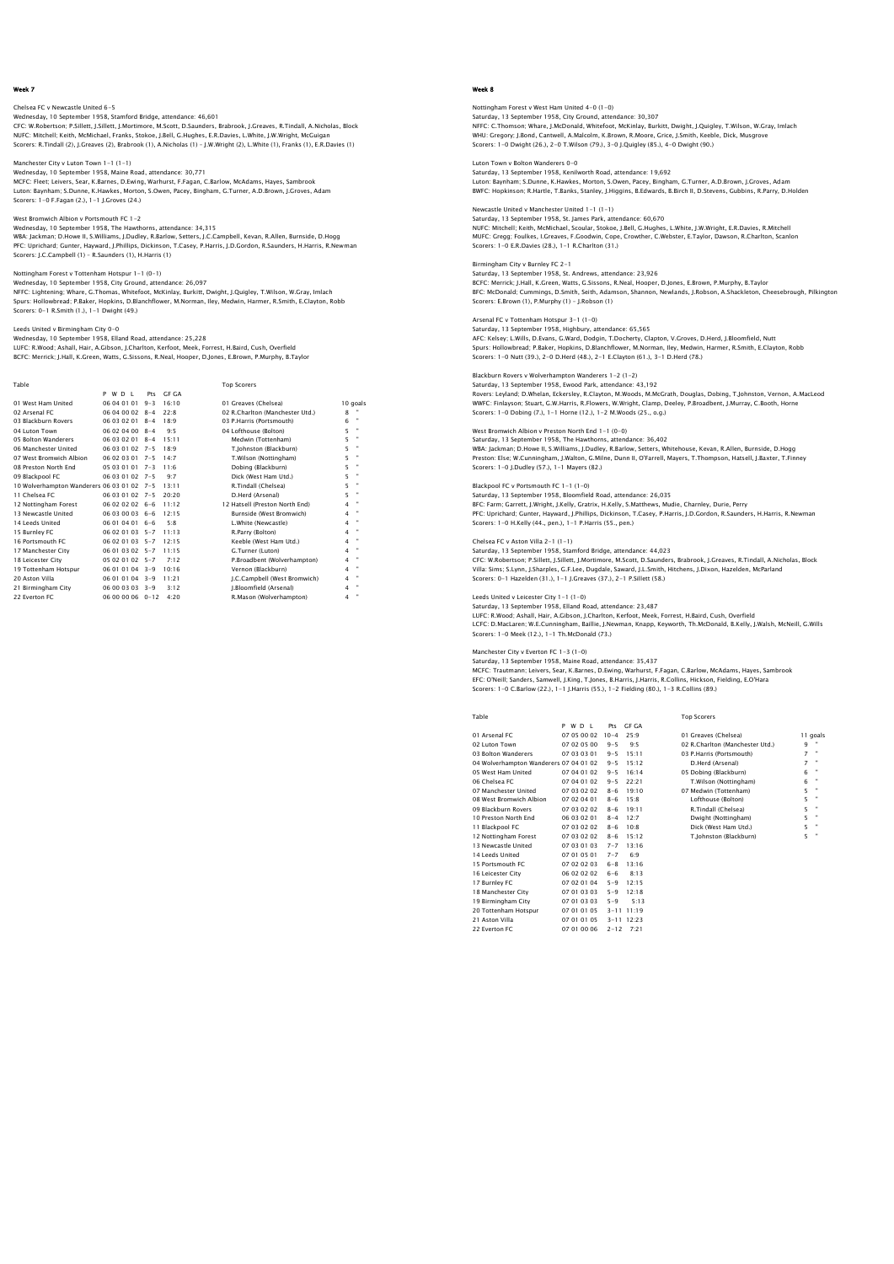# Chelsea FC v Newcastle United 6-5 Wednesday, 10 September 1958, Stamford Bridge, attendance: 46,601<br>CFC: W.Robertson; P.Sillett, J.Sillett, J.Mortimore, M.Scott, D.Saunders, Brabrook, J.Greaves, R.Tindall, A.Nicholas, Block<br>NUFC: Michell; Keith, McMichael,

Manchester City v Luton Town 1-1 (1-1) Wednesday, 10 September 1958, Maine Road, attendance: 30,771 MCFC: Fleet; Leivers, Sear, K.Barnes, D.Ewing, Warhurst, F.Fagan, C.Barlow, McAdams, Hayes, Sambrook Luton: Baynham; S.Dunne, K.Hawkes, Morton, S.Owen, Pacey, Bingham, G.Turner, A.D.Brown, J.Groves, Adam Scorers: 1-0 F.Fagan (2.), 1-1 J.Groves (24.)

West Bromwich Albion v Portsmouth FC 1–2<br>Wednesday, 10 September 1958, The Hawthorns, attendance: 34,315<br>WBA: Jackman; D.Howe II, S.Williams, J.Dudley, R.Barlow, Setters, J.C.Campbell, Kevan, R.Allen, Burnside, D.Hogg PFC: Uprichard; Gunter, Hayward, J.Phillips, Dickinson, T.Casey, P.Harris, J.D.Gordon, R.Saunders, H.Harris, R.Newman Scorers: J.C.Campbell (1) – R.Saunders (1), H.Harris (1)

# Nottingham Forest v Tottenham Hotspur 1-1 (0-1)

Wednesday, 10 September 1958, City Ground, attendance: 26,097 NFFC: Lightening; Whare, G.Thomas, Whitefoot, McKinlay, Burkitt, Dwight, J.Quigley, T.Wilson, W.Gray, Imlach Spurs: Hollowbread; P.Baker, Hopkins, D.Blanchflower, M.Norman, Iley, Medwin, Harmer, R.Smith, E.Clayton, Robb Scorers: 0-1 R.Smith (1.), 1-1 Dwight (49.)

### Leeds United v Birmingham City 0-0

Wednesday, 10 September 1958, Elland Road, attendance: 25,228 LUFC: R.Wood; Ashall, Hair, A.Gibson, J.Charlton, Kerfoot, Meek, Forrest, H.Baird, Cush, Overfield BCFC: Merrick; J.Hall, K.Green, Watts, G.Sissons, R.Neal, Hooper, D.Jones, E.Brown, P.Murphy, B.Taylor

| Table                                      |                  |         |          | <b>Top Scorers</b>              |   |                |
|--------------------------------------------|------------------|---------|----------|---------------------------------|---|----------------|
|                                            | P W D I          | Pts     | GF GA    |                                 |   |                |
| 01 West Ham United                         | 06 04 01 01      | $9 - 3$ | 16:10    | 01 Greaves (Chelsea)            |   | 10 goals       |
| 02 Arsenal FC                              | 06 04 00 02      | $8 - 4$ | $22 - 8$ | 02 R.Charlton (Manchester Utd.) | 8 |                |
| 03 Blackburn Rovers                        | 06 03 02 01      | $8 - 4$ | 18.9     | 03 P.Harris (Portsmouth)        | 6 |                |
| 04 Luton Town                              | 06 02 04 00      | $8 - 4$ | 9:5      | 04 Lofthouse (Bolton)           | 5 | ٠              |
| 05 Bolton Wanderers                        | 06 03 02 01      | $8 - 4$ | 15:11    | Medwin (Tottenham)              | 5 |                |
| 06 Manchester United                       | 06 03 01 02 7-5  |         | 18.9     | T.Johnston (Blackburn)          | 5 | $\blacksquare$ |
| 07 West Bromwich Albion                    | 06 02 03 01 7-5  |         | $14 - 7$ | T.Wilson (Nottingham)           | 5 | ٠              |
| 08 Preston North End                       | 05 03 01 01 7-3  |         | 11:6     | Dobing (Blackburn)              | 5 | $\blacksquare$ |
| 09 Blackpool FC                            | 06 03 01 02 7-5  |         | 9.7      | Dick (West Ham Utd.)            | 5 |                |
| 10 Wolverhampton Wanderers 06 03 01 02 7-5 |                  |         | 13:11    | R.Tindall (Chelsea)             | 5 |                |
| 11 Chelsea EC                              | 06 03 01 02 7-5  |         | 20:20    | D.Herd (Arsenal)                | 5 | $\blacksquare$ |
| 12 Nottingham Forest                       | $060202026 - 6$  |         | 11:12    | 12 Hatsell (Preston North End)  | 4 |                |
| 13 Newcastle United                        | 06 03 00 03 6-6  |         | 12.15    | Burnside (West Bromwich)        | 4 | $\blacksquare$ |
| 14 Leeds United                            | 06 01 04 01 6-6  |         | 5.8      | L.White (Newcastle)             | 4 | $\blacksquare$ |
| 15 Burnley FC                              | 06 02 01 03 5-7  |         | 11:13    | R.Parry (Bolton)                | 4 |                |
| 16 Portsmouth FC                           | 06 02 01 03 5-7  |         | 12:15    | Keeble (West Ham Utd.)          | 4 | ٠              |
| 17 Manchester City                         | 06 01 03 02 5-7  |         | 11:15    | G.Turner (Luton)                | 4 | $\blacksquare$ |
| 18 Leicester City                          | 05 02 01 02 5-7  |         | 7:12     | P.Broadbent (Wolverhampton)     | 4 | $\blacksquare$ |
| 19 Tottenham Hotspur                       | 06 01 01 04 3-9  |         | 10:16    | Vernon (Blackburn)              | 4 |                |
| 20 Aston Villa                             | 06 01 01 04 3-9  |         | 11:21    | J.C.Campbell (West Bromwich)    | 4 | ٠              |
| 21 Birmingham City                         | 06 00 03 03      | $3 - 9$ | 3:12     | I.Bloomfield (Arsenal)          | 4 | $\blacksquare$ |
| 22 Everton EC                              | 06 00 00 06 0-12 |         | 4:20     | R.Mason (Wolverhampton)         | 4 |                |

# Week 8

Nottingham Forest v West Ham United 4-0 (1-0) Saturday, 13 September 1958, City Ground, attendance: 30,307<br>NFFC: C.Thomson; Whare, J.McDonald, Whitefoot, McKinlay, Burkitt, Dwight, J.Quigley, T.Wilson, W.Gray, Imlach<br>WHU: Gregory: J.Bond, Cantwell, A.Malcolm, K.Brown, Scorers: 1-0 Dwight (26.), 2-0 T.Wilson (79.), 3-0 J.Quigley (85.), 4-0 Dwight (90.)

Luton Town v Bolton Wanderers 0-0 Saturday, 13 September 1958, Kenilworth Road, attendance: 19,692 Luton: Baynham; S.Dunne, K.Hawkes, Morton, S.Owen, Pacey, Bingham, G.Turner, A.D.Brown, J.Groves, Adam BWFC: Hopkinson; R.Hartle, T.Banks, Stanley, J.Higgins, B.Edwards, B.Birch II, D.Stevens, Gubbins, R.Parry, D.Holden

Newcastle United v Manchester United 1-1 (1-1) Saturday, 13 September 1958, St. James Park, attendance: 60,670<br>NUFC: Mitchell; Keith, MCMichael, Scoular, Stokoe, J.Bell, G.Hughes, L.White, J.W.Wright, E.R.Davies, R.Mitchell<br>MUFC: Gregg; Foulkes, I.Greaves, F.Goodwin, C Scorers: 1-0 E.R.Davies (28.), 1-1 R.Charlton (31.)

# Birmingham City v Burnley FC 2–1<br>Saturday, 13 September 1958, St. Andrews, attendance: 23,926<br>BCFC: Merrick; J.Hall, K.Green, Watts, G.Sissons, R.Neal, Hooper, D.Jones, E.Brown, P.Murphy, B.Taylor<br>BFC: McDonald; Cummings, Scorers: E.Brown (1), P.Murphy (1) – J.Robson (1)

# Arsenal FC v Tottenham Hotspur 3-1 (1-0)

Saturday, 13 September 1958, Highbury, attendance: 65,565 AFC: Kelsey; L.Wills, D.Evans, G.Ward, Dodgin, T.Docherty, Clapton, V.Groves, D.Herd, J.Bloomfield, Nutt Spurs: Hollowbread; P.Baker, Hopkins, D.Blanchflower, M.Norman, Iley, Medwin, Harmer, R.Smith, E.Clayton, Robb Scorers: 1-0 Nutt (39.), 2-0 D.Herd (48.), 2-1 E.Clayton (61.), 3-1 D.Herd (78.)

#### vers v Wolverhampton Wanderers 1-2 (1-2) Saturday, 13 September 1958, Ewood Park, attendance: 43,192

Rovers: Leyland; D.Whelan, Eckersley, R.Clayton, M.Woods, M.McGrath, Douglas, Dobing, T.Johnston, Vernon, A.MacLeod WWFC: Finlayson; Stuart, G.W.Harris, R.Flowers, W.Wright, Clamp, Deeley, P.Broadbent, J.Murray, C.Booth, Horne Scorers: 1-0 Dobing (7.), 1-1 Horne (12.), 1-2 M.Woods (25., o.g.)

# West Bromwich Albion v Preston North End 1-1 (0-0)

Saturday, 13 September 1958, The Hawthorns, attendance: 36,402 WBA: Jackman; D.Howe II, S.Williams, J.Dudley, R.Barlow, Setters, Whitehouse, Kevan, R.Allen, Burnside, D.Hogg<br>Preston: Else; W.Cunningham, J.Walton, G.Milne, Dunn II, O'Farrell, Mayers, T.Thompson, Hatsell, J.Baxter, T.Fi Scorers: 1-0 J.Dudley (57.), 1-1 Mayers (82.)

## Blackpool FC v Portsmouth FC 1-1 (1-0)

Saturday, 13 September 1958, Bloomfield Road, attendance: 26,035 BFC: Farm; Garrett, J.Wright, J.Kelly, Gratrix, H.Kelly, S.Matthews, Mudie, Charnley, Durie, Perry<br>PFC: Uprichard; Gunter, Hayward, J.Phillips, Dickinson, T.Casey, P.Harris, J.D.Gordon, R.Saunders, H.Harris, R.Newman<br>Score

### Chelsea FC v Aston Villa 2-1 (1-1)

Saturday, 13 September 1958, Stamford Bridge, attendance: 44,023 CFC: W.Robertson; P.Sillett, J.Sillett, J.Mortimore, M.Scott, D.Saunders, Brabrook, J.Greaves, R.Tindall, A.Nicholas, Block<br>Villa: Sims; S.Lynn, J.Sharples, G.F.Lee, Dugdale, Saward, J.L.Smith, Hitchens, J.Dixon, Hazelden,

### Leeds United v Leicester City 1-1 (1-0)

Saturday, 13 September 1958, Eliand Road, attendance: 23,487<br>LUFC: R.Wood; Ashall, Hair, A.Cibson, J.Charlton, Kerfoot, Meek, Forrest, H.Baird, Cush, Overfield<br>LCFC: D.MacLaren: W.E.Cunningham, Baillie, J.Newman, Knapp, Ke Scorers: 1-0 Meek (12.), 1-1 Th.McDonald (73.)

18 Manchester City 07 01 03 03 5-9 12:18<br>19 Birmingham City 07 01 03 03 5-9 5:13<br>20 Tottenham Hotspur 07 01 01 05 3-11 11:19<br>21 Aston Villa 07 01 01 05 3-11 12:23 22 Everton FC 07 01 00 06 2-12 7:21

Manchester City v Everton FC 1–3 (1–0)<br>Saturday, 13 September 1958, Maine Road, attendance: 35,437<br>MCFC: Trautmann; Leivers, Sear, K.Barnes, D.Ewing, Warhurst, F.Faqan, C.Barlow, McAdams, Hayes, Sambrook EFC: O'Neill; Sanders, Samwell, J.King, T.Jones, B.Harris, J.Harris, R.Collins, Hickson, Fielding, E.O'Hara Scorers: 1-0 C.Barlow (22.), 1-1 J.Harris (55.), 1-2 Fielding (80.), 1-3 R.Collins (89.)

P W D L Pts GF GA 01 Arsenal FC 07 05 00 02 10-4 25:9 01 Greaves (Chelsea) 11 goals ' 02 Luton Town 0 07 02 05 00 9-5 9:5 02 R.Charlton (Manchester Utd.) 9<br>10 O3 Bolton Wanderers 0 07 03 03 01 9-5 15:11 03 P.Harris (Portsmouth) 7<br>10 Wolverhampton Wanderers 0 7 04 01 02 9-5 15:12 05 Dobing (Blackburn) 7 1<br> 06 Chelsea FC 07 04 01 02 9-5 22:21 07 Manchester United 07 03 02 02 8-6 19:10 07 07 08 02:11 08:21 09 08:21 08:21 09 08:21 09:21 09:21 09:21 09:21 09:21 09:22 03 03 02:21 09:21 09:21 09:21 09:22 03:22 03:22 03:22 03:22 03 07 Manchester United 07 03 02 02 8-6 19:10 07 Medwin (Tottenham) 5 " 08 West Bromwich Albion 07 02 04 01 8-6 15:8 Lofthouse (Bolton) 5 " 09 Blackburn Rovers 07 03 02 02 8-6 19:11 R.Tindall (Chelsea) 5 " 10 Preston North End 06 03 02 01 8-4 12:7 Dwight (Nottingham) 5 " 07 Manchester United 07 02 02 8-6 19:11<br>
08 West Bromwich Albian 07 02 04 01 8-6 15:8<br>
09 Blackburn Rovers 07 03 02 02 8-6 19:1<br>
11 Blackpool FC 07 03 02 02 8-6 10:8<br>
11 Blackpool FC 07 03 02 02 8-6 15:11<br>
12 Newcastle Un 12 Nottingham Forest 07 03 02 02 8-6 15:12 T.Johnston (Blackburn) 5 " 13 Newcastle United 07 03 01 03 7-7 13:16 14 Leeds United 07 01 05 01 7-7 6:9 15 Portsmouth FC 07 02 02 03 6-8 13:16 16 Leicester City 06 02 02 02 6-6 8:13<br>17 Burnley FC 07 02 01 04 5-9 12:15 17 Burnley FC 07 02 01 04 5-9 12:15<br>18 Manchester City 07 01 03 03 5-9 12:18<br>19 Birmingham City 07 01 03 03 5-9 5:12<br>20 Tottenham Hotspur 07 01 01 05 3-11 11:19

**Table The Scorers of the Top Scorers of the Top Scorers of the Top Scorers** 

| Greaves (Chelsea)          |   | 11 goals |
|----------------------------|---|----------|
| Charlton (Manchester Utd.) | ۹ |          |
| Harris (Portsmouth).       | 7 |          |
| ).Herd (Arsenal)           | 7 |          |
| Jobing (Blackburn)         | 6 |          |
| Wilson (Nottingham)        | 6 |          |
| (edwin (Tottenham          | 5 |          |
| ofthouse (Bolton)          | 5 |          |
| Tindall (Chelsea)          | 5 |          |
| Wight (Nottingham)         | 5 |          |
| )ick (West Ham Utd.)       | 5 |          |
| Johnston (Blackburn)       | 5 |          |
|                            |   |          |